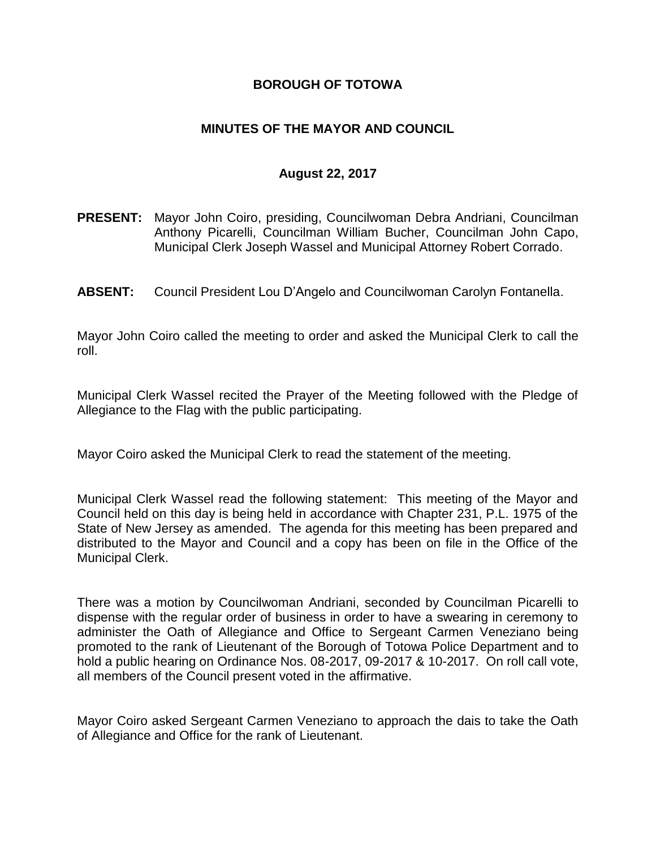### **BOROUGH OF TOTOWA**

## **MINUTES OF THE MAYOR AND COUNCIL**

#### **August 22, 2017**

- **PRESENT:** Mayor John Coiro, presiding, Councilwoman Debra Andriani, Councilman Anthony Picarelli, Councilman William Bucher, Councilman John Capo, Municipal Clerk Joseph Wassel and Municipal Attorney Robert Corrado.
- **ABSENT:** Council President Lou D'Angelo and Councilwoman Carolyn Fontanella.

Mayor John Coiro called the meeting to order and asked the Municipal Clerk to call the roll.

Municipal Clerk Wassel recited the Prayer of the Meeting followed with the Pledge of Allegiance to the Flag with the public participating.

Mayor Coiro asked the Municipal Clerk to read the statement of the meeting.

Municipal Clerk Wassel read the following statement: This meeting of the Mayor and Council held on this day is being held in accordance with Chapter 231, P.L. 1975 of the State of New Jersey as amended. The agenda for this meeting has been prepared and distributed to the Mayor and Council and a copy has been on file in the Office of the Municipal Clerk.

There was a motion by Councilwoman Andriani, seconded by Councilman Picarelli to dispense with the regular order of business in order to have a swearing in ceremony to administer the Oath of Allegiance and Office to Sergeant Carmen Veneziano being promoted to the rank of Lieutenant of the Borough of Totowa Police Department and to hold a public hearing on Ordinance Nos. 08-2017, 09-2017 & 10-2017. On roll call vote, all members of the Council present voted in the affirmative.

Mayor Coiro asked Sergeant Carmen Veneziano to approach the dais to take the Oath of Allegiance and Office for the rank of Lieutenant.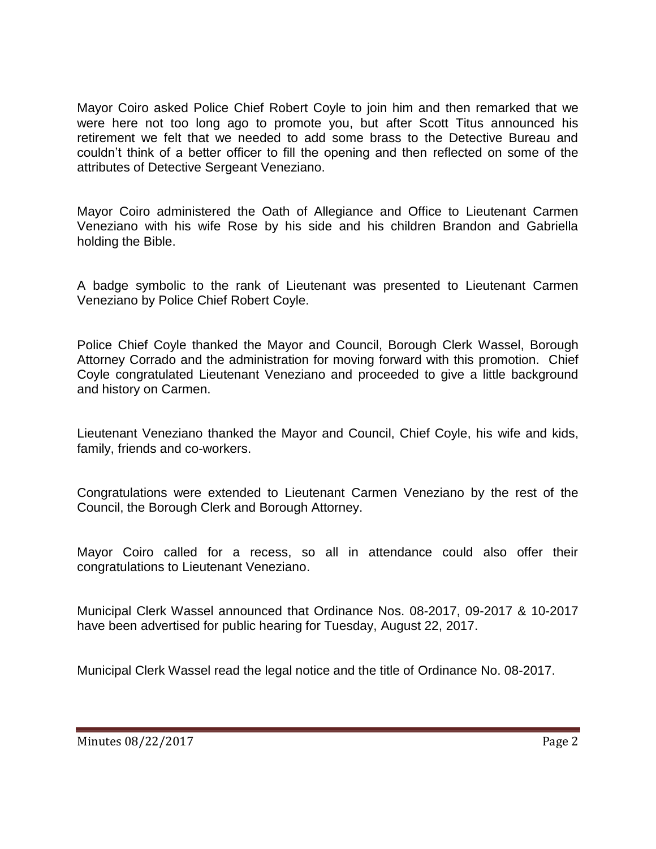Mayor Coiro asked Police Chief Robert Coyle to join him and then remarked that we were here not too long ago to promote you, but after Scott Titus announced his retirement we felt that we needed to add some brass to the Detective Bureau and couldn't think of a better officer to fill the opening and then reflected on some of the attributes of Detective Sergeant Veneziano.

Mayor Coiro administered the Oath of Allegiance and Office to Lieutenant Carmen Veneziano with his wife Rose by his side and his children Brandon and Gabriella holding the Bible.

A badge symbolic to the rank of Lieutenant was presented to Lieutenant Carmen Veneziano by Police Chief Robert Coyle.

Police Chief Coyle thanked the Mayor and Council, Borough Clerk Wassel, Borough Attorney Corrado and the administration for moving forward with this promotion. Chief Coyle congratulated Lieutenant Veneziano and proceeded to give a little background and history on Carmen.

Lieutenant Veneziano thanked the Mayor and Council, Chief Coyle, his wife and kids, family, friends and co-workers.

Congratulations were extended to Lieutenant Carmen Veneziano by the rest of the Council, the Borough Clerk and Borough Attorney.

Mayor Coiro called for a recess, so all in attendance could also offer their congratulations to Lieutenant Veneziano.

Municipal Clerk Wassel announced that Ordinance Nos. 08-2017, 09-2017 & 10-2017 have been advertised for public hearing for Tuesday, August 22, 2017.

Municipal Clerk Wassel read the legal notice and the title of Ordinance No. 08-2017.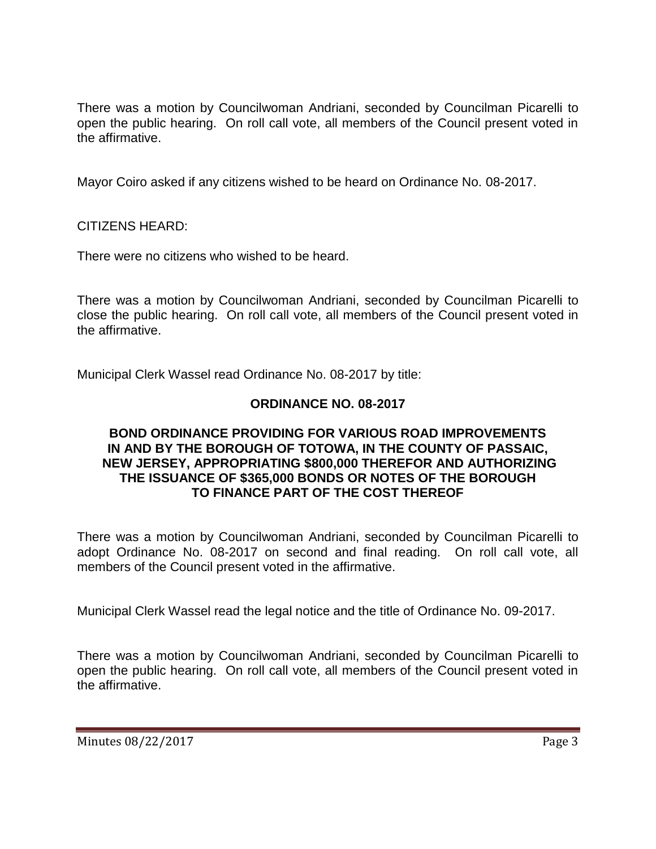There was a motion by Councilwoman Andriani, seconded by Councilman Picarelli to open the public hearing. On roll call vote, all members of the Council present voted in the affirmative.

Mayor Coiro asked if any citizens wished to be heard on Ordinance No. 08-2017.

CITIZENS HEARD:

There were no citizens who wished to be heard.

There was a motion by Councilwoman Andriani, seconded by Councilman Picarelli to close the public hearing. On roll call vote, all members of the Council present voted in the affirmative.

Municipal Clerk Wassel read Ordinance No. 08-2017 by title:

### **ORDINANCE NO. 08-2017**

#### **BOND ORDINANCE PROVIDING FOR VARIOUS ROAD IMPROVEMENTS IN AND BY THE BOROUGH OF TOTOWA, IN THE COUNTY OF PASSAIC, NEW JERSEY, APPROPRIATING \$800,000 THEREFOR AND AUTHORIZING THE ISSUANCE OF \$365,000 BONDS OR NOTES OF THE BOROUGH TO FINANCE PART OF THE COST THEREOF**

There was a motion by Councilwoman Andriani, seconded by Councilman Picarelli to adopt Ordinance No. 08-2017 on second and final reading. On roll call vote, all members of the Council present voted in the affirmative.

Municipal Clerk Wassel read the legal notice and the title of Ordinance No. 09-2017.

There was a motion by Councilwoman Andriani, seconded by Councilman Picarelli to open the public hearing. On roll call vote, all members of the Council present voted in the affirmative.

Minutes 08/22/2017 Page 3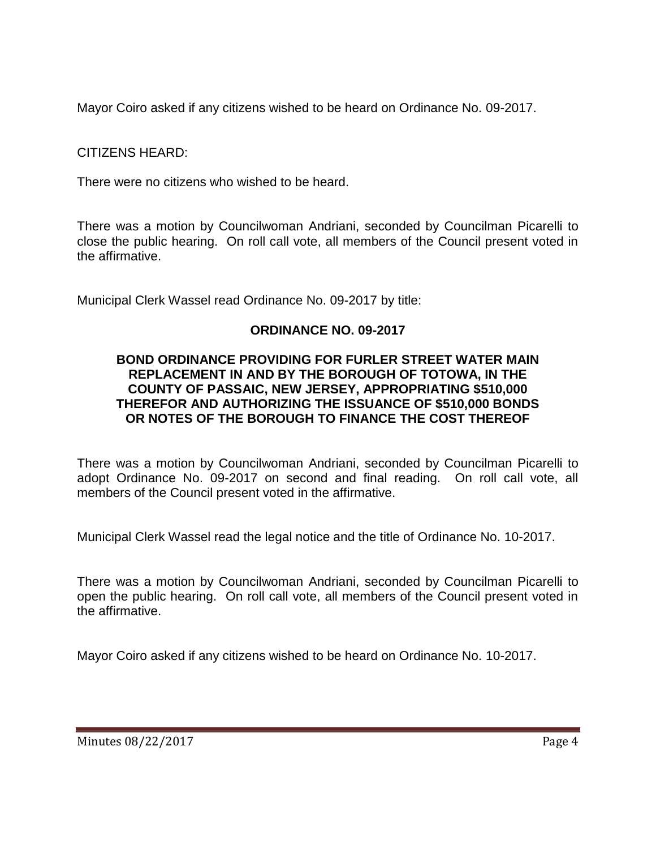Mayor Coiro asked if any citizens wished to be heard on Ordinance No. 09-2017.

CITIZENS HEARD:

There were no citizens who wished to be heard.

There was a motion by Councilwoman Andriani, seconded by Councilman Picarelli to close the public hearing. On roll call vote, all members of the Council present voted in the affirmative.

Municipal Clerk Wassel read Ordinance No. 09-2017 by title:

# **ORDINANCE NO. 09-2017**

#### **BOND ORDINANCE PROVIDING FOR FURLER STREET WATER MAIN REPLACEMENT IN AND BY THE BOROUGH OF TOTOWA, IN THE COUNTY OF PASSAIC, NEW JERSEY, APPROPRIATING \$510,000 THEREFOR AND AUTHORIZING THE ISSUANCE OF \$510,000 BONDS OR NOTES OF THE BOROUGH TO FINANCE THE COST THEREOF**

There was a motion by Councilwoman Andriani, seconded by Councilman Picarelli to adopt Ordinance No. 09-2017 on second and final reading. On roll call vote, all members of the Council present voted in the affirmative.

Municipal Clerk Wassel read the legal notice and the title of Ordinance No. 10-2017.

There was a motion by Councilwoman Andriani, seconded by Councilman Picarelli to open the public hearing. On roll call vote, all members of the Council present voted in the affirmative.

Mayor Coiro asked if any citizens wished to be heard on Ordinance No. 10-2017.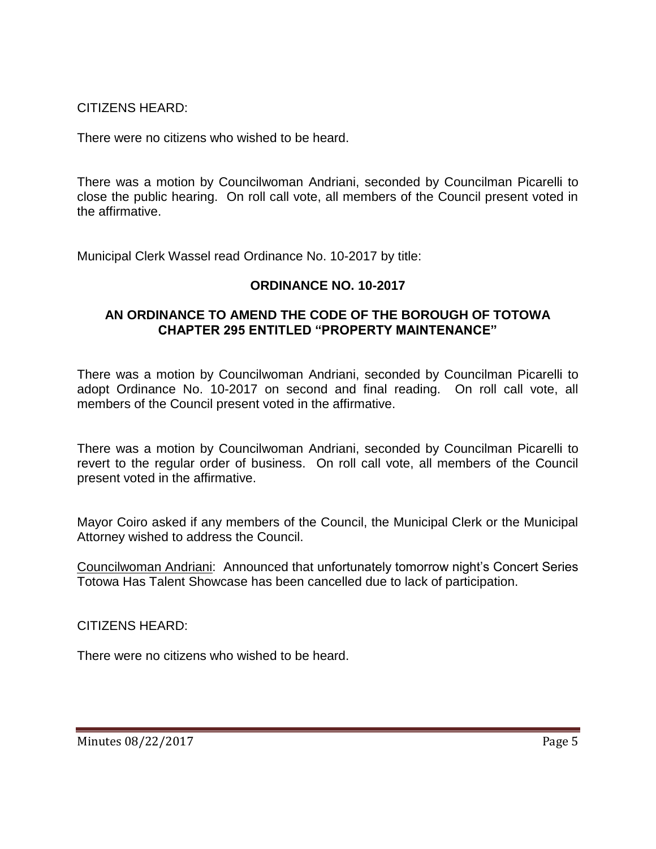CITIZENS HEARD:

There were no citizens who wished to be heard.

There was a motion by Councilwoman Andriani, seconded by Councilman Picarelli to close the public hearing. On roll call vote, all members of the Council present voted in the affirmative.

Municipal Clerk Wassel read Ordinance No. 10-2017 by title:

# **ORDINANCE NO. 10-2017**

### **AN ORDINANCE TO AMEND THE CODE OF THE BOROUGH OF TOTOWA CHAPTER 295 ENTITLED "PROPERTY MAINTENANCE"**

There was a motion by Councilwoman Andriani, seconded by Councilman Picarelli to adopt Ordinance No. 10-2017 on second and final reading. On roll call vote, all members of the Council present voted in the affirmative.

There was a motion by Councilwoman Andriani, seconded by Councilman Picarelli to revert to the regular order of business. On roll call vote, all members of the Council present voted in the affirmative.

Mayor Coiro asked if any members of the Council, the Municipal Clerk or the Municipal Attorney wished to address the Council.

Councilwoman Andriani: Announced that unfortunately tomorrow night's Concert Series Totowa Has Talent Showcase has been cancelled due to lack of participation.

CITIZENS HEARD:

There were no citizens who wished to be heard.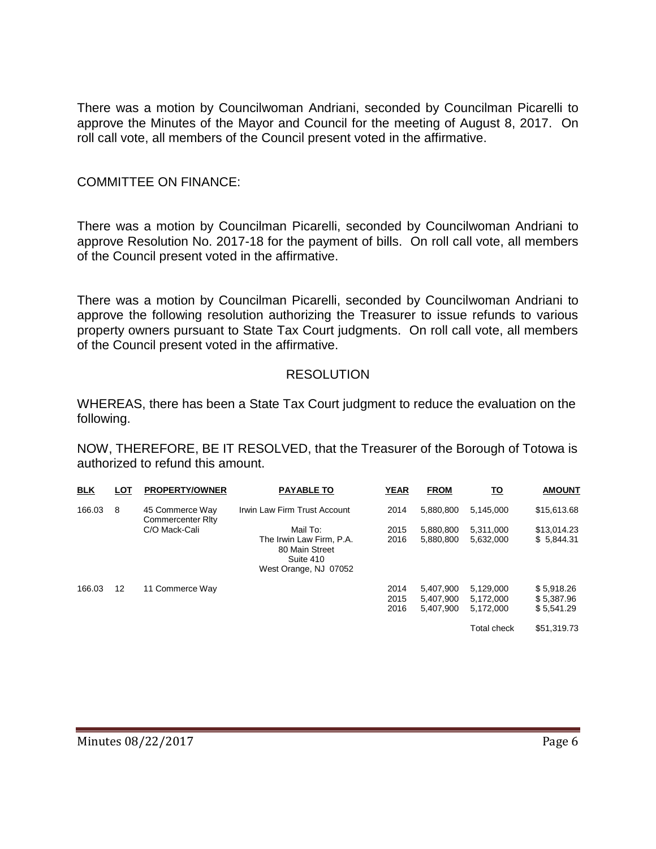There was a motion by Councilwoman Andriani, seconded by Councilman Picarelli to approve the Minutes of the Mayor and Council for the meeting of August 8, 2017. On roll call vote, all members of the Council present voted in the affirmative.

#### COMMITTEE ON FINANCE:

There was a motion by Councilman Picarelli, seconded by Councilwoman Andriani to approve Resolution No. 2017-18 for the payment of bills. On roll call vote, all members of the Council present voted in the affirmative.

There was a motion by Councilman Picarelli, seconded by Councilwoman Andriani to approve the following resolution authorizing the Treasurer to issue refunds to various property owners pursuant to State Tax Court judgments. On roll call vote, all members of the Council present voted in the affirmative.

### **RESOLUTION**

WHEREAS, there has been a State Tax Court judgment to reduce the evaluation on the following.

NOW, THEREFORE, BE IT RESOLVED, that the Treasurer of the Borough of Totowa is authorized to refund this amount.

| <b>BLK</b> | LOT | <b>PROPERTY/OWNER</b>                       | <b>PAYABLE TO</b>                                                                | <b>YEAR</b>          | <b>FROM</b>                         | <u>TO</u>                           | <b>AMOUNT</b>                          |
|------------|-----|---------------------------------------------|----------------------------------------------------------------------------------|----------------------|-------------------------------------|-------------------------------------|----------------------------------------|
| 166.03     | 8   | 45 Commerce Way<br><b>Commercenter Rity</b> | Irwin Law Firm Trust Account                                                     | 2014                 | 5.880.800                           | 5,145,000                           | \$15,613.68                            |
|            |     | C/O Mack-Cali                               | Mail To:                                                                         | 2015                 | 5,880,800                           | 5.311.000                           | \$13,014.23                            |
|            |     |                                             | The Irwin Law Firm, P.A.<br>80 Main Street<br>Suite 410<br>West Orange, NJ 07052 | 2016                 | 5,880,800                           | 5,632,000                           | \$5,844.31                             |
| 166.03     | 12  | 11 Commerce Way                             |                                                                                  | 2014<br>2015<br>2016 | 5.407.900<br>5,407,900<br>5.407.900 | 5.129.000<br>5.172.000<br>5.172.000 | \$5,918.26<br>\$5,387.96<br>\$5.541.29 |
|            |     |                                             |                                                                                  |                      |                                     | <b>Total check</b>                  | \$51,319.73                            |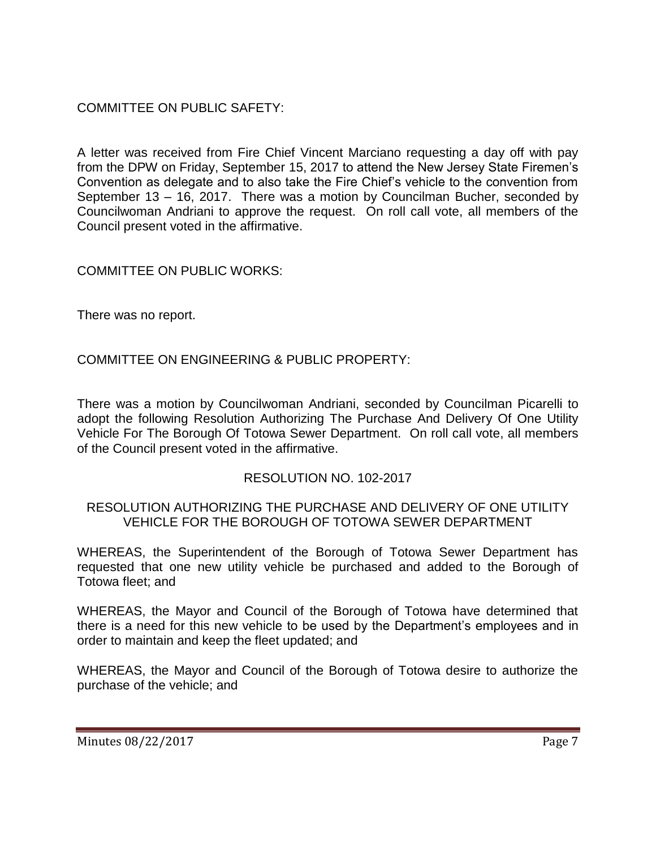# COMMITTEE ON PUBLIC SAFETY:

A letter was received from Fire Chief Vincent Marciano requesting a day off with pay from the DPW on Friday, September 15, 2017 to attend the New Jersey State Firemen's Convention as delegate and to also take the Fire Chief's vehicle to the convention from September 13 – 16, 2017. There was a motion by Councilman Bucher, seconded by Councilwoman Andriani to approve the request. On roll call vote, all members of the Council present voted in the affirmative.

# COMMITTEE ON PUBLIC WORKS:

There was no report.

# COMMITTEE ON ENGINEERING & PUBLIC PROPERTY:

There was a motion by Councilwoman Andriani, seconded by Councilman Picarelli to adopt the following Resolution Authorizing The Purchase And Delivery Of One Utility Vehicle For The Borough Of Totowa Sewer Department. On roll call vote, all members of the Council present voted in the affirmative.

# RESOLUTION NO. 102-2017

### RESOLUTION AUTHORIZING THE PURCHASE AND DELIVERY OF ONE UTILITY VEHICLE FOR THE BOROUGH OF TOTOWA SEWER DEPARTMENT

WHEREAS, the Superintendent of the Borough of Totowa Sewer Department has requested that one new utility vehicle be purchased and added to the Borough of Totowa fleet; and

WHEREAS, the Mayor and Council of the Borough of Totowa have determined that there is a need for this new vehicle to be used by the Department's employees and in order to maintain and keep the fleet updated; and

WHEREAS, the Mayor and Council of the Borough of Totowa desire to authorize the purchase of the vehicle; and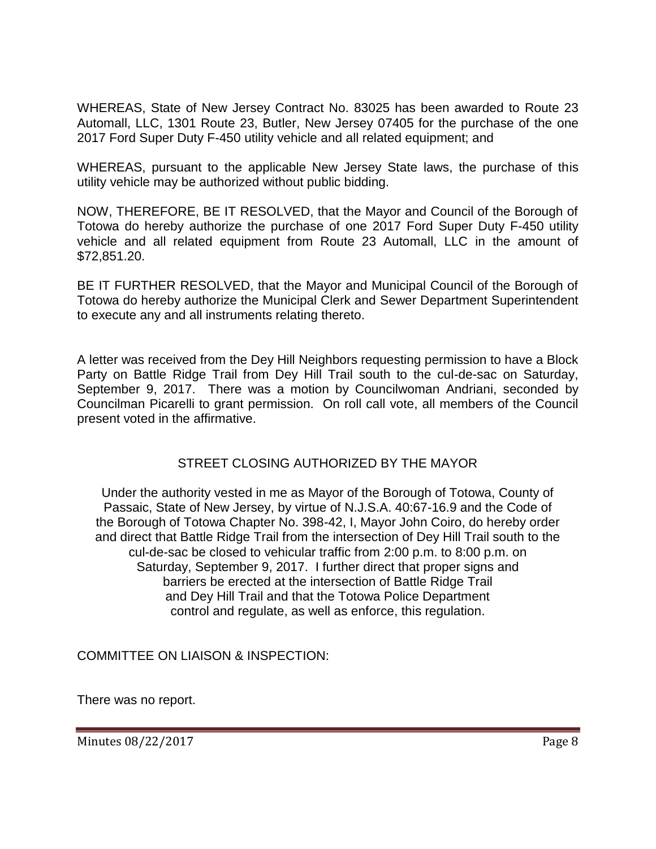WHEREAS, State of New Jersey Contract No. 83025 has been awarded to Route 23 Automall, LLC, 1301 Route 23, Butler, New Jersey 07405 for the purchase of the one 2017 Ford Super Duty F-450 utility vehicle and all related equipment; and

WHEREAS, pursuant to the applicable New Jersey State laws, the purchase of this utility vehicle may be authorized without public bidding.

NOW, THEREFORE, BE IT RESOLVED, that the Mayor and Council of the Borough of Totowa do hereby authorize the purchase of one 2017 Ford Super Duty F-450 utility vehicle and all related equipment from Route 23 Automall, LLC in the amount of \$72,851.20.

BE IT FURTHER RESOLVED, that the Mayor and Municipal Council of the Borough of Totowa do hereby authorize the Municipal Clerk and Sewer Department Superintendent to execute any and all instruments relating thereto.

A letter was received from the Dey Hill Neighbors requesting permission to have a Block Party on Battle Ridge Trail from Dey Hill Trail south to the cul-de-sac on Saturday, September 9, 2017. There was a motion by Councilwoman Andriani, seconded by Councilman Picarelli to grant permission. On roll call vote, all members of the Council present voted in the affirmative.

# STREET CLOSING AUTHORIZED BY THE MAYOR

Under the authority vested in me as Mayor of the Borough of Totowa, County of Passaic, State of New Jersey, by virtue of N.J.S.A. 40:67-16.9 and the Code of the Borough of Totowa Chapter No. 398-42, I, Mayor John Coiro, do hereby order and direct that Battle Ridge Trail from the intersection of Dey Hill Trail south to the cul-de-sac be closed to vehicular traffic from 2:00 p.m. to 8:00 p.m. on Saturday, September 9, 2017. I further direct that proper signs and barriers be erected at the intersection of Battle Ridge Trail and Dey Hill Trail and that the Totowa Police Department control and regulate, as well as enforce, this regulation.

COMMITTEE ON LIAISON & INSPECTION:

There was no report.

Minutes 08/22/2017 **Page 8**